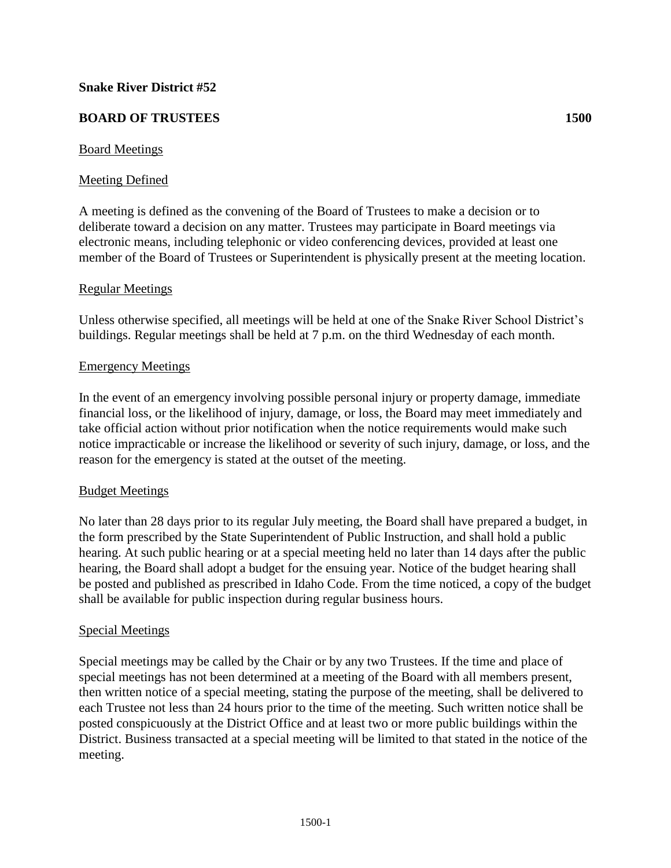## **Snake River District #52**

# **BOARD OF TRUSTEES 1500**

## Board Meetings

## Meeting Defined

A meeting is defined as the convening of the Board of Trustees to make a decision or to deliberate toward a decision on any matter. Trustees may participate in Board meetings via electronic means, including telephonic or video conferencing devices, provided at least one member of the Board of Trustees or Superintendent is physically present at the meeting location.

### Regular Meetings

Unless otherwise specified, all meetings will be held at one of the Snake River School District's buildings. Regular meetings shall be held at 7 p.m. on the third Wednesday of each month.

### Emergency Meetings

In the event of an emergency involving possible personal injury or property damage, immediate financial loss, or the likelihood of injury, damage, or loss, the Board may meet immediately and take official action without prior notification when the notice requirements would make such notice impracticable or increase the likelihood or severity of such injury, damage, or loss, and the reason for the emergency is stated at the outset of the meeting.

#### Budget Meetings

No later than 28 days prior to its regular July meeting, the Board shall have prepared a budget, in the form prescribed by the State Superintendent of Public Instruction, and shall hold a public hearing. At such public hearing or at a special meeting held no later than 14 days after the public hearing, the Board shall adopt a budget for the ensuing year. Notice of the budget hearing shall be posted and published as prescribed in Idaho Code. From the time noticed, a copy of the budget shall be available for public inspection during regular business hours.

## Special Meetings

Special meetings may be called by the Chair or by any two Trustees. If the time and place of special meetings has not been determined at a meeting of the Board with all members present, then written notice of a special meeting, stating the purpose of the meeting, shall be delivered to each Trustee not less than 24 hours prior to the time of the meeting. Such written notice shall be posted conspicuously at the District Office and at least two or more public buildings within the District. Business transacted at a special meeting will be limited to that stated in the notice of the meeting.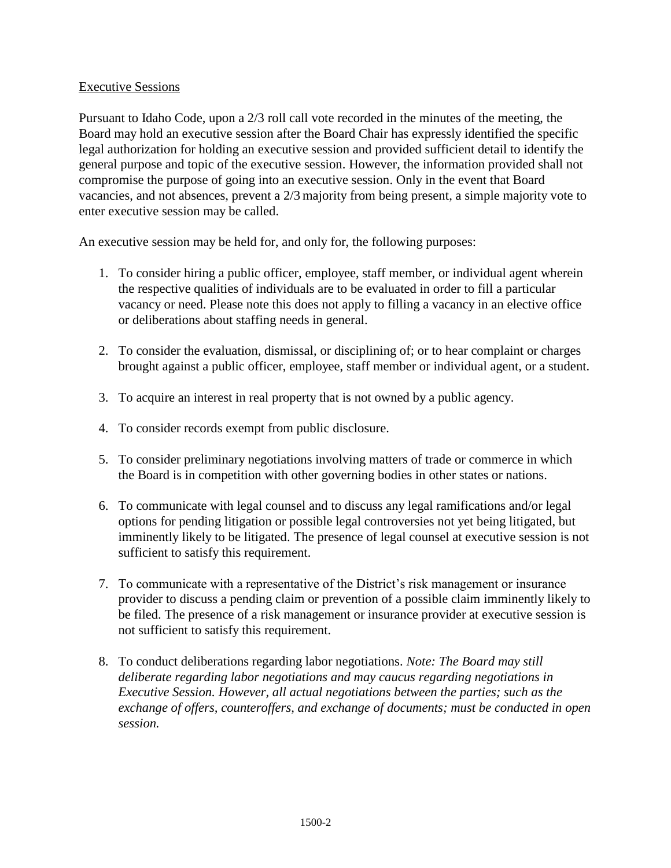# Executive Sessions

Pursuant to Idaho Code, upon a 2/3 roll call vote recorded in the minutes of the meeting, the Board may hold an executive session after the Board Chair has expressly identified the specific legal authorization for holding an executive session and provided sufficient detail to identify the general purpose and topic of the executive session. However, the information provided shall not compromise the purpose of going into an executive session. Only in the event that Board vacancies, and not absences, prevent a 2/3 majority from being present, a simple majority vote to enter executive session may be called.

An executive session may be held for, and only for, the following purposes:

- 1. To consider hiring a public officer, employee, staff member, or individual agent wherein the respective qualities of individuals are to be evaluated in order to fill a particular vacancy or need. Please note this does not apply to filling a vacancy in an elective office or deliberations about staffing needs in general.
- 2. To consider the evaluation, dismissal, or disciplining of; or to hear complaint or charges brought against a public officer, employee, staff member or individual agent, or a student.
- 3. To acquire an interest in real property that is not owned by a public agency.
- 4. To consider records exempt from public disclosure.
- 5. To consider preliminary negotiations involving matters of trade or commerce in which the Board is in competition with other governing bodies in other states or nations.
- 6. To communicate with legal counsel and to discuss any legal ramifications and/or legal options for pending litigation or possible legal controversies not yet being litigated, but imminently likely to be litigated. The presence of legal counsel at executive session is not sufficient to satisfy this requirement.
- 7. To communicate with a representative of the District's risk management or insurance provider to discuss a pending claim or prevention of a possible claim imminently likely to be filed. The presence of a risk management or insurance provider at executive session is not sufficient to satisfy this requirement.
- 8. To conduct deliberations regarding labor negotiations. *Note: The Board may still deliberate regarding labor negotiations and may caucus regarding negotiations in Executive Session. However, all actual negotiations between the parties; such as the exchange of offers, counteroffers, and exchange of documents; must be conducted in open session.*